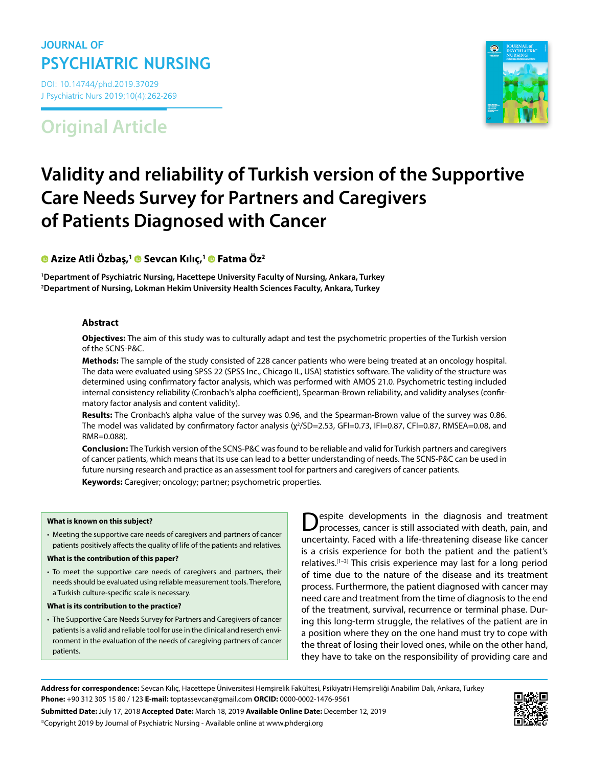# **JOURNAL OF PSYCHIATRIC NURSING**

DOI: 10.14744/phd.2019.37029 J Psychiatric Nurs 2019;10(4):262-269

# **Original Article**



# **Validity and reliability of Turkish version of the Supportive Care Needs Survey for Partners and Caregivers of Patients Diagnosed with Cancer**

## **Azize Atli Özbaş,1 Sevcan Kılıç,[1](https://orcid.org/0000-0002-1275-7743) Fatma Öz2**

**1 Department of Psychiatric Nursing, Hacettepe University Faculty of Nursing, Ankara, Turkey 2 Department of Nursing, Lokman Hekim University Health Sciences Faculty, Ankara, Turkey**

#### **Abstract**

**Objectives:** The aim of this study was to culturally adapt and test the psychometric properties of the Turkish version of the SCNS-P&C.

**Methods:** The sample of the study consisted of 228 cancer patients who were being treated at an oncology hospital. The data were evaluated using SPSS 22 (SPSS Inc., Chicago IL, USA) statistics software. The validity of the structure was determined using confirmatory factor analysis, which was performed with AMOS 21.0. Psychometric testing included internal consistency reliability (Cronbach's alpha coefficient), Spearman-Brown reliability, and validity analyses (confirmatory factor analysis and content validity).

**Results:** The Cronbach's alpha value of the survey was 0.96, and the Spearman-Brown value of the survey was 0.86. The model was validated by confirmatory factor analysis (χ<sup>2</sup>/SD=2.53, GFI=0.73, IFI=0.87, CFI=0.87, RMSEA=0.08, and RMR=0.088).

**Conclusion:** The Turkish version of the SCNS-P&C was found to be reliable and valid for Turkish partners and caregivers of cancer patients, which means that its use can lead to a better understanding of needs. The SCNS-P&C can be used in future nursing research and practice as an assessment tool for partners and caregivers of cancer patients. **Keywords:** Caregiver; oncology; partner; psychometric properties.

#### **What is known on this subject?**

• Meeting the supportive care needs of caregivers and partners of cancer patients positively affects the quality of life of the patients and relatives.

#### **What is the contribution of this paper?**

- To meet the supportive care needs of caregivers and partners, their needs should be evaluated using reliable measurement tools. Therefore, a Turkish culture-specific scale is necessary.
- **What is its contribution to the practice?**
- The Supportive Care Needs Survey for Partners and Caregivers of cancer patients is a valid and reliable tool for use in the clinical and reserch environment in the evaluation of the needs of caregiving partners of cancer patients.

Despite developments in the diagnosis and treatment processes, cancer is still associated with death, pain, and uncertainty. Faced with a life-threatening disease like cancer is a crisis experience for both the patient and the patient's relatives.[1–3] This crisis experience may last for a long period of time due to the nature of the disease and its treatment process. Furthermore, the patient diagnosed with cancer may need care and treatment from the time of diagnosis to the end of the treatment, survival, recurrence or terminal phase. During this long-term struggle, the relatives of the patient are in a position where they on the one hand must try to cope with the threat of losing their loved ones, while on the other hand, they have to take on the responsibility of providing care and

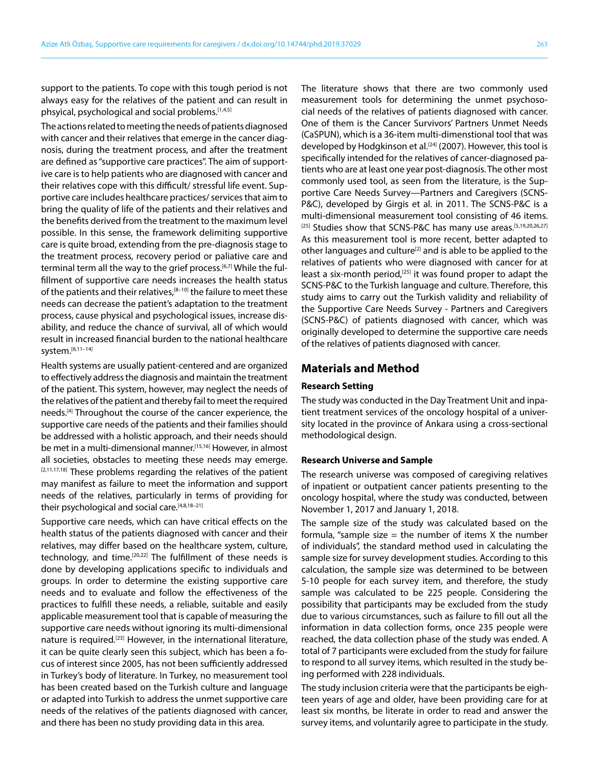support to the patients. To cope with this tough period is not always easy for the relatives of the patient and can result in phsyical, psychological and social problems.[1,4,5]

The actions related to meeting the needs of patients diagnosed with cancer and their relatives that emerge in the cancer diagnosis, during the treatment process, and after the treatment are defined as "supportive care practices". The aim of supportive care is to help patients who are diagnosed with cancer and their relatives cope with this difficult/ stressful life event. Supportive care includes healthcare practices/ services that aim to bring the quality of life of the patients and their relatives and the benefits derived from the treatment to the maximum level possible. In this sense, the framework delimiting supportive care is quite broad, extending from the pre-diagnosis stage to the treatment process, recovery period or paliative care and terminal term all the way to the grief process.[6,7] While the fulfillment of supportive care needs increases the health status of the patients and their relatives, $[8-10]$  the failure to meet these needs can decrease the patient's adaptation to the treatment process, cause physical and psychological issues, increase disability, and reduce the chance of survival, all of which would result in increased financial burden to the national healthcare system.[6,11–14]

Health systems are usually patient-centered and are organized to effectively address the diagnosis and maintain the treatment of the patient. This system, however, may neglect the needs of the relatives of the patient and thereby fail to meet the required needs.<sup>[4]</sup> Throughout the course of the cancer experience, the supportive care needs of the patients and their families should be addressed with a holistic approach, and their needs should be met in a multi-dimensional manner.<sup>[15,16]</sup> However, in almost all societies, obstacles to meeting these needs may emerge.  $[2,11,17,18]$  These problems regarding the relatives of the patient may manifest as failure to meet the information and support needs of the relatives, particularly in terms of providing for their psychological and social care.<sup>[4,8,18-21]</sup>

Supportive care needs, which can have critical effects on the health status of the patients diagnosed with cancer and their relatives, may differ based on the healthcare system, culture, technology, and time.<sup>[20,22]</sup> The fulfillment of these needs is done by developing applications specific to individuals and groups. In order to determine the existing supportive care needs and to evaluate and follow the effectiveness of the practices to fulfill these needs, a reliable, suitable and easily applicable measurement tool that is capable of measuring the supportive care needs without ignoring its multi-dimensional nature is required.[23] However, in the international literature, it can be quite clearly seen this subject, which has been a focus of interest since 2005, has not been sufficiently addressed in Turkey's body of literature. In Turkey, no measurement tool has been created based on the Turkish culture and language or adapted into Turkish to address the unmet supportive care needs of the relatives of the patients diagnosed with cancer, and there has been no study providing data in this area.

The literature shows that there are two commonly used measurement tools for determining the unmet psychosocial needs of the relatives of patients diagnosed with cancer. One of them is the Cancer Survivors' Partners Unmet Needs (CaSPUN), which is a 36-item multi-dimenstional tool that was developed by Hodgkinson et al.<sup>[24]</sup> (2007). However, this tool is specifically intended for the relatives of cancer-diagnosed patients who are at least one year post-diagnosis. The other most commonly used tool, as seen from the literature, is the Supportive Care Needs Survey—Partners and Caregivers (SCNS-P&C), developed by Girgis et al. in 2011. The SCNS-P&C is a multi-dimensional measurement tool consisting of 46 items. [25] Studies show that SCNS-P&C has many use areas.<sup>[5,19,20,26,27]</sup> As this measurement tool is more recent, better adapted to other languages and culture<sup>[2]</sup> and is able to be applied to the relatives of patients who were diagnosed with cancer for at least a six-month period,<sup>[25]</sup> it was found proper to adapt the SCNS-P&C to the Turkish language and culture. Therefore, this study aims to carry out the Turkish validity and reliability of the Supportive Care Needs Survey - Partners and Caregivers (SCNS-P&C) of patients diagnosed with cancer, which was originally developed to determine the supportive care needs of the relatives of patients diagnosed with cancer.

#### **Materials and Method**

#### **Research Setting**

The study was conducted in the Day Treatment Unit and inpatient treatment services of the oncology hospital of a university located in the province of Ankara using a cross-sectional methodological design.

#### **Research Universe and Sample**

The research universe was composed of caregiving relatives of inpatient or outpatient cancer patients presenting to the oncology hospital, where the study was conducted, between November 1, 2017 and January 1, 2018.

The sample size of the study was calculated based on the formula, "sample size  $=$  the number of items X the number of individuals", the standard method used in calculating the sample size for survey development studies. According to this calculation, the sample size was determined to be between 5-10 people for each survey item, and therefore, the study sample was calculated to be 225 people. Considering the possibility that participants may be excluded from the study due to various circumstances, such as failure to fill out all the information in data collection forms, once 235 people were reached, the data collection phase of the study was ended. A total of 7 participants were excluded from the study for failure to respond to all survey items, which resulted in the study being performed with 228 individuals.

The study inclusion criteria were that the participants be eighteen years of age and older, have been providing care for at least six months, be literate in order to read and answer the survey items, and voluntarily agree to participate in the study.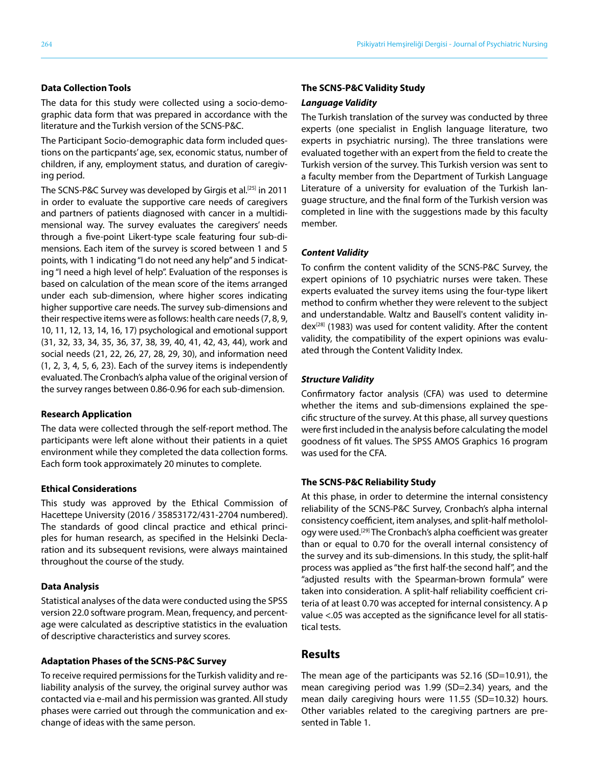The data for this study were collected using a socio-demographic data form that was prepared in accordance with the literature and the Turkish version of the SCNS-P&C.

The Participant Socio-demographic data form included questions on the particpants' age, sex, economic status, number of children, if any, employment status, and duration of caregiving period.

The SCNS-P&C Survey was developed by Girgis et al.<sup>[25]</sup> in 2011 in order to evaluate the supportive care needs of caregivers and partners of patients diagnosed with cancer in a multidimensional way. The survey evaluates the caregivers' needs through a five-point Likert-type scale featuring four sub-dimensions. Each item of the survey is scored between 1 and 5 points, with 1 indicating "I do not need any help" and 5 indicating "I need a high level of help". Evaluation of the responses is based on calculation of the mean score of the items arranged under each sub-dimension, where higher scores indicating higher supportive care needs. The survey sub-dimensions and their respective items were as follows: health care needs (7, 8, 9, 10, 11, 12, 13, 14, 16, 17) psychological and emotional support (31, 32, 33, 34, 35, 36, 37, 38, 39, 40, 41, 42, 43, 44), work and social needs (21, 22, 26, 27, 28, 29, 30), and information need (1, 2, 3, 4, 5, 6, 23). Each of the survey items is independently evaluated. The Cronbach's alpha value of the original version of the survey ranges between 0.86-0.96 for each sub-dimension.

#### **Research Application**

The data were collected through the self-report method. The participants were left alone without their patients in a quiet environment while they completed the data collection forms. Each form took approximately 20 minutes to complete.

#### **Ethical Considerations**

This study was approved by the Ethical Commission of Hacettepe University (2016 / 35853172/431-2704 numbered). The standards of good clincal practice and ethical principles for human research, as specified in the Helsinki Declaration and its subsequent revisions, were always maintained throughout the course of the study.

#### **Data Analysis**

Statistical analyses of the data were conducted using the SPSS version 22.0 software program. Mean, frequency, and percentage were calculated as descriptive statistics in the evaluation of descriptive characteristics and survey scores.

#### **Adaptation Phases of the SCNS-P&C Survey**

To receive required permissions for the Turkish validity and reliability analysis of the survey, the original survey author was contacted via e-mail and his permission was granted. All study phases were carried out through the communication and exchange of ideas with the same person.

#### **The SCNS-P&C Validity Study**

#### *Language Validity*

The Turkish translation of the survey was conducted by three experts (one specialist in English language literature, two experts in psychiatric nursing). The three translations were evaluated together with an expert from the field to create the Turkish version of the survey. This Turkish version was sent to a faculty member from the Department of Turkish Language Literature of a university for evaluation of the Turkish language structure, and the final form of the Turkish version was completed in line with the suggestions made by this faculty member.

#### *Content Validity*

To confirm the content validity of the SCNS-P&C Survey, the expert opinions of 10 psychiatric nurses were taken. These experts evaluated the survey items using the four-type likert method to confirm whether they were relevent to the subject and understandable. Waltz and Bausell's content validity index<sup>[28]</sup> (1983) was used for content validity. After the content validity, the compatibility of the expert opinions was evaluated through the Content Validity Index.

#### *Structure Validity*

Confirmatory factor analysis (CFA) was used to determine whether the items and sub-dimensions explained the specific structure of the survey. At this phase, all survey questions were first included in the analysis before calculating the model goodness of fit values. The SPSS AMOS Graphics 16 program was used for the CFA.

#### **The SCNS-P&C Reliability Study**

At this phase, in order to determine the internal consistency reliability of the SCNS-P&C Survey, Cronbach's alpha internal consistency coefficient, item analyses, and split-half metholology were used.<sup>[29]</sup> The Cronbach's alpha coefficient was greater than or equal to 0.70 for the overall internal consistency of the survey and its sub-dimensions. In this study, the split-half process was applied as "the first half-the second half", and the "adjusted results with the Spearman-brown formula" were taken into consideration. A split-half reliability coefficient criteria of at least 0.70 was accepted for internal consistency. A p value <.05 was accepted as the significance level for all statistical tests.

#### **Results**

The mean age of the participants was 52.16 (SD=10.91), the mean caregiving period was 1.99 (SD=2.34) years, and the mean daily caregiving hours were 11.55 (SD=10.32) hours. Other variables related to the caregiving partners are presented in Table 1.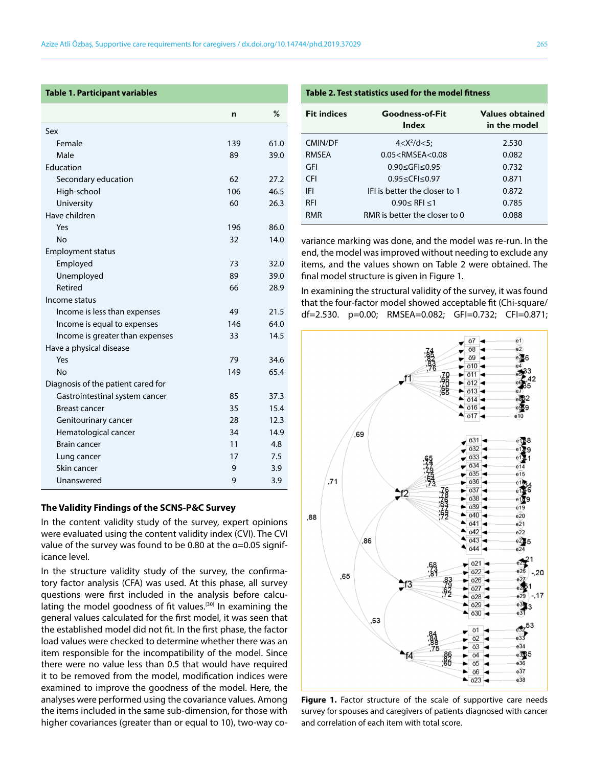#### **Table 1. Participant variables**

|                                    | n   | %    |
|------------------------------------|-----|------|
| Sex                                |     |      |
| Female                             | 139 | 61.0 |
| Male                               | 89  | 39.0 |
| Education                          |     |      |
| Secondary education                | 62  | 27.2 |
| High-school                        | 106 | 46.5 |
| University                         | 60  | 26.3 |
| Have children                      |     |      |
| Yes                                | 196 | 86.0 |
| No                                 | 32  | 14.0 |
| <b>Employment status</b>           |     |      |
| Employed                           | 73  | 32.0 |
| Unemployed                         | 89  | 39.0 |
| Retired                            | 66  | 28.9 |
| Income status                      |     |      |
| Income is less than expenses       | 49  | 21.5 |
| Income is equal to expenses        | 146 | 64.0 |
| Income is greater than expenses    | 33  | 14.5 |
| Have a physical disease            |     |      |
| Yes                                | 79  | 34.6 |
| <b>No</b>                          | 149 | 65.4 |
| Diagnosis of the patient cared for |     |      |
| Gastrointestinal system cancer     | 85  | 37.3 |
| Breast cancer                      | 35  | 15.4 |
| Genitourinary cancer               | 28  | 12.3 |
| Hematological cancer               | 34  | 14.9 |
| <b>Brain cancer</b>                | 11  | 4.8  |
| Lung cancer                        | 17  | 7.5  |
| Skin cancer                        | 9   | 3.9  |
| Unanswered                         | 9   | 3.9  |

#### **The Validity Findings of the SCNS-P&C Survey**

In the content validity study of the survey, expert opinions were evaluated using the content validity index (CVI). The CVI value of the survey was found to be 0.80 at the  $\alpha$ =0.05 significance level.

In the structure validity study of the survey, the confirmatory factor analysis (CFA) was used. At this phase, all survey questions were first included in the analysis before calculating the model goodness of fit values.<sup>[30]</sup> In examining the general values calculated for the first model, it was seen that the established model did not fit. In the first phase, the factor load values were checked to determine whether there was an item responsible for the incompatibility of the model. Since there were no value less than 0.5 that would have required it to be removed from the model, modification indices were examined to improve the goodness of the model. Here, the analyses were performed using the covariance values. Among the items included in the same sub-dimension, for those with higher covariances (greater than or equal to 10), two-way co-

## **Table 2. Test statistics used for the model fitness**

| <b>Fit indices</b> | Goodness-of-Fit<br>Index      | <b>Values obtained</b><br>in the model |
|--------------------|-------------------------------|----------------------------------------|
| CMIN/DF            | $4 < X^2/d < 5$ ;             | 2.530                                  |
| RMSEA              | $0.05 <$ RMSEA<0.08           | 0.082                                  |
| GFI                | 0.90 < GFI < 0.95             | 0.732                                  |
| <b>CFI</b>         | 0.95 ≤ CFI ≤ 0.97             | 0.871                                  |
| IFI                | IFI is better the closer to 1 | 0.872                                  |
| <b>RFI</b>         | $0.90$ ≤ RFI ≤1               | 0.785                                  |
| <b>RMR</b>         | RMR is better the closer to 0 | 0.088                                  |

variance marking was done, and the model was re-run. In the end, the model was improved without needing to exclude any items, and the values shown on Table 2 were obtained. The final model structure is given in Figure 1.

In examining the structural validity of the survey, it was found that the four-factor model showed acceptable fit (Chi-square/ df=2.530. p=0.00; RMSEA=0.082; GFI=0.732; CFI=0.871;



**Figure 1.** Factor structure of the scale of supportive care needs survey for spouses and caregivers of patients diagnosed with cancer and correlation of each item with total score.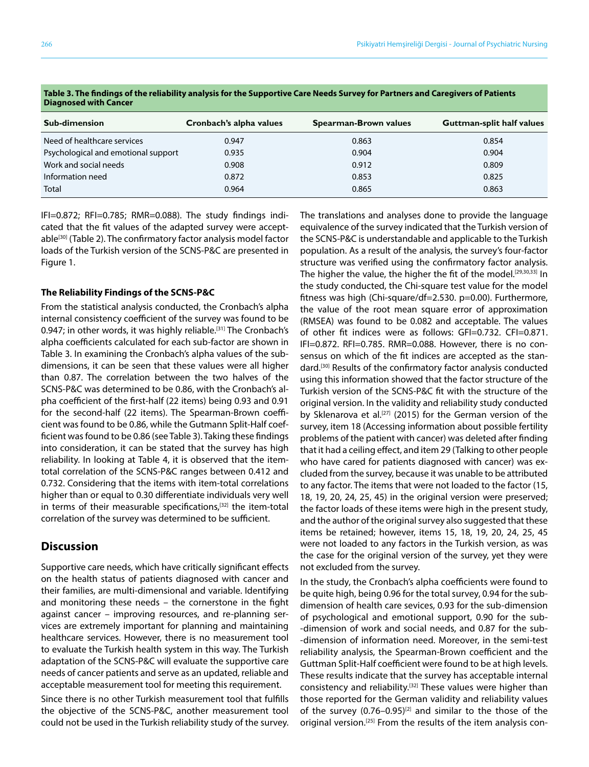| <b>Sub-dimension</b>                | Cronbach's alpha values | <b>Spearman-Brown values</b> | <b>Guttman-split half values</b> |
|-------------------------------------|-------------------------|------------------------------|----------------------------------|
| Need of healthcare services         | 0.947                   | 0.863                        | 0.854                            |
| Psychological and emotional support | 0.935                   | 0.904                        | 0.904                            |
| Work and social needs               | 0.908                   | 0.912                        | 0.809                            |
| Information need                    | 0.872                   | 0.853                        | 0.825                            |
| <b>Total</b>                        | 0.964                   | 0.865                        | 0.863                            |

**Table 3. The findings of the reliability analysis for the Supportive Care Needs Survey for Partners and Caregivers of Patients Diagnosed with Cancer**

IFI=0.872; RFI=0.785; RMR=0.088). The study findings indicated that the fit values of the adapted survey were acceptable<sup>[30]</sup> (Table 2). The confirmatory factor analysis model factor loads of the Turkish version of the SCNS-P&C are presented in Figure 1.

#### **The Reliability Findings of the SCNS-P&C**

From the statistical analysis conducted, the Cronbach's alpha internal consistency coefficient of the survey was found to be 0.947; in other words, it was highly reliable.<sup>[31]</sup> The Cronbach's alpha coefficients calculated for each sub-factor are shown in Table 3. In examining the Cronbach's alpha values of the subdimensions, it can be seen that these values were all higher than 0.87. The correlation between the two halves of the SCNS-P&C was determined to be 0.86, with the Cronbach's alpha coefficient of the first-half (22 items) being 0.93 and 0.91 for the second-half (22 items). The Spearman-Brown coefficient was found to be 0.86, while the Gutmann Split-Half coefficient was found to be 0.86 (see Table 3). Taking these findings into consideration, it can be stated that the survey has high reliability. In looking at Table 4, it is observed that the itemtotal correlation of the SCNS-P&C ranges between 0.412 and 0.732. Considering that the items with item-total correlations higher than or equal to 0.30 differentiate individuals very well in terms of their measurable specifications,<sup>[32]</sup> the item-total correlation of the survey was determined to be sufficient.

#### **Discussion**

Supportive care needs, which have critically significant effects on the health status of patients diagnosed with cancer and their families, are multi-dimensional and variable. Identifying and monitoring these needs – the cornerstone in the fight against cancer – improving resources, and re-planning services are extremely important for planning and maintaining healthcare services. However, there is no measurement tool to evaluate the Turkish health system in this way. The Turkish adaptation of the SCNS-P&C will evaluate the supportive care needs of cancer patients and serve as an updated, reliable and acceptable measurement tool for meeting this requirement.

Since there is no other Turkish measurement tool that fulfills the objective of the SCNS-P&C, another measurement tool could not be used in the Turkish reliability study of the survey. The translations and analyses done to provide the language equivalence of the survey indicated that the Turkish version of the SCNS-P&C is understandable and applicable to the Turkish population. As a result of the analysis, the survey's four-factor structure was verified using the confirmatory factor analysis. The higher the value, the higher the fit of the model.<sup>[29,30,33]</sup> In the study conducted, the Chi-square test value for the model fitness was high (Chi-square/df=2.530. p=0.00). Furthermore, the value of the root mean square error of approximation (RMSEA) was found to be 0.082 and acceptable. The values of other fit indices were as follows: GFI=0.732. CFI=0.871. IFI=0.872. RFI=0.785. RMR=0.088. However, there is no consensus on which of the fit indices are accepted as the standard.[30] Results of the confirmatory factor analysis conducted using this information showed that the factor structure of the Turkish version of the SCNS-P&C fit with the structure of the original version. In the validity and reliability study conducted by Sklenarova et al.<sup>[27]</sup> (2015) for the German version of the survey, item 18 (Accessing information about possible fertility problems of the patient with cancer) was deleted after finding that it had a ceiling effect, and item 29 (Talking to other people who have cared for patients diagnosed with cancer) was excluded from the survey, because it was unable to be attributed to any factor. The items that were not loaded to the factor (15, 18, 19, 20, 24, 25, 45) in the original version were preserved; the factor loads of these items were high in the present study, and the author of the original survey also suggested that these items be retained; however, items 15, 18, 19, 20, 24, 25, 45 were not loaded to any factors in the Turkish version, as was the case for the original version of the survey, yet they were not excluded from the survey.

In the study, the Cronbach's alpha coefficients were found to be quite high, being 0.96 for the total survey, 0.94 for the subdimension of health care sevices, 0.93 for the sub-dimension of psychological and emotional support, 0.90 for the sub- -dimension of work and social needs, and 0.87 for the sub- -dimension of information need. Moreover, in the semi-test reliability analysis, the Spearman-Brown coefficient and the Guttman Split-Half coefficient were found to be at high levels. These results indicate that the survey has acceptable internal consistency and reliability.<sup>[32]</sup> These values were higher than those reported for the German validity and reliability values of the survey  $(0.76-0.95)^{[2]}$  and similar to the those of the original version.<sup>[25]</sup> From the results of the item analysis con-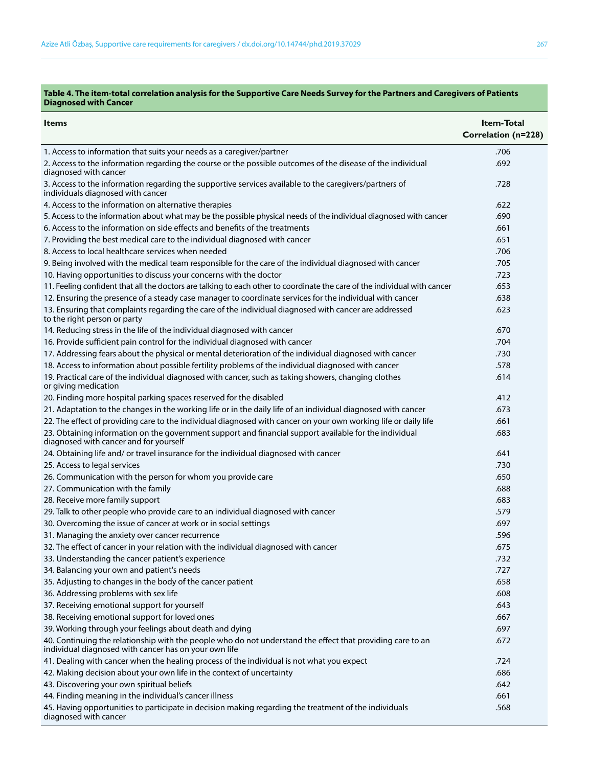#### **Table 4. The item-total correlation analysis for the Supportive Care Needs Survey for the Partners and Caregivers of Patients Diagnosed with Cancer**

|                                                                                                                                                                     | <b>Item-Total</b>   |
|---------------------------------------------------------------------------------------------------------------------------------------------------------------------|---------------------|
| <b>Items</b>                                                                                                                                                        | Correlation (n=228) |
| 1. Access to information that suits your needs as a caregiver/partner                                                                                               | .706                |
| 2. Access to the information regarding the course or the possible outcomes of the disease of the individual                                                         | .692                |
| diagnosed with cancer                                                                                                                                               |                     |
| 3. Access to the information regarding the supportive services available to the caregivers/partners of<br>individuals diagnosed with cancer                         | .728                |
| 4. Access to the information on alternative therapies                                                                                                               | .622                |
| 5. Access to the information about what may be the possible physical needs of the individual diagnosed with cancer                                                  | .690                |
| 6. Access to the information on side effects and benefits of the treatments                                                                                         | .661                |
| 7. Providing the best medical care to the individual diagnosed with cancer                                                                                          | .651                |
| 8. Access to local healthcare services when needed                                                                                                                  | .706                |
| 9. Being involved with the medical team responsible for the care of the individual diagnosed with cancer                                                            | .705                |
| 10. Having opportunities to discuss your concerns with the doctor                                                                                                   | .723                |
| 11. Feeling confident that all the doctors are talking to each other to coordinate the care of the individual with cancer                                           | .653                |
| 12. Ensuring the presence of a steady case manager to coordinate services for the individual with cancer                                                            | .638                |
| 13. Ensuring that complaints regarding the care of the individual diagnosed with cancer are addressed<br>to the right person or party                               | .623                |
| 14. Reducing stress in the life of the individual diagnosed with cancer                                                                                             | .670                |
| 16. Provide sufficient pain control for the individual diagnosed with cancer                                                                                        | .704                |
| 17. Addressing fears about the physical or mental deterioration of the individual diagnosed with cancer                                                             | .730                |
| 18. Access to information about possible fertility problems of the individual diagnosed with cancer                                                                 | .578                |
| 19. Practical care of the individual diagnosed with cancer, such as taking showers, changing clothes<br>or giving medication                                        | .614                |
| 20. Finding more hospital parking spaces reserved for the disabled                                                                                                  | .412                |
| 21. Adaptation to the changes in the working life or in the daily life of an individual diagnosed with cancer                                                       | .673                |
| 22. The effect of providing care to the individual diagnosed with cancer on your own working life or daily life                                                     | .661                |
| 23. Obtaining information on the government support and financial support available for the individual<br>diagnosed with cancer and for yourself                    | .683                |
| 24. Obtaining life and/ or travel insurance for the individual diagnosed with cancer                                                                                | .641                |
| 25. Access to legal services                                                                                                                                        | .730                |
| 26. Communication with the person for whom you provide care                                                                                                         | .650                |
| 27. Communication with the family                                                                                                                                   | .688                |
| 28. Receive more family support                                                                                                                                     | .683                |
| 29. Talk to other people who provide care to an individual diagnosed with cancer                                                                                    | .579                |
| 30. Overcoming the issue of cancer at work or in social settings                                                                                                    | .697                |
| 31. Managing the anxiety over cancer recurrence                                                                                                                     | .596                |
| 32. The effect of cancer in your relation with the individual diagnosed with cancer                                                                                 | .675                |
| 33. Understanding the cancer patient's experience                                                                                                                   | .732                |
| 34. Balancing your own and patient's needs                                                                                                                          | .727                |
| 35. Adjusting to changes in the body of the cancer patient                                                                                                          | .658                |
| 36. Addressing problems with sex life                                                                                                                               | .608                |
| 37. Receiving emotional support for yourself                                                                                                                        | .643                |
| 38. Receiving emotional support for loved ones                                                                                                                      | .667                |
| 39. Working through your feelings about death and dying                                                                                                             | .697                |
| 40. Continuing the relationship with the people who do not understand the effect that providing care to an<br>individual diagnosed with cancer has on your own life | .672                |
| 41. Dealing with cancer when the healing process of the individual is not what you expect                                                                           | .724                |
| 42. Making decision about your own life in the context of uncertainty                                                                                               | .686                |
| 43. Discovering your own spiritual beliefs                                                                                                                          | .642                |
| 44. Finding meaning in the individual's cancer illness                                                                                                              | .661                |
| 45. Having opportunities to participate in decision making regarding the treatment of the individuals<br>diagnosed with cancer                                      | .568                |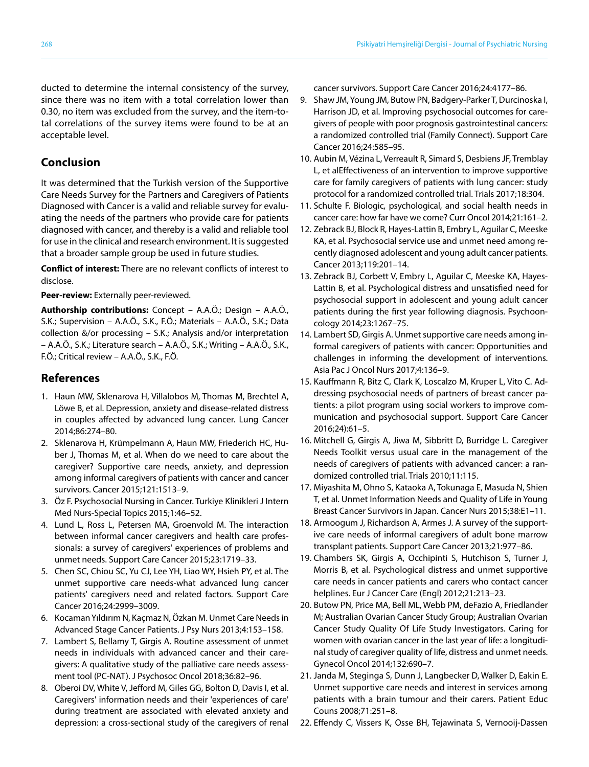ducted to determine the internal consistency of the survey, since there was no item with a total correlation lower than 0.30, no item was excluded from the survey, and the item-total correlations of the survey items were found to be at an acceptable level.

### **Conclusion**

It was determined that the Turkish version of the Supportive Care Needs Survey for the Partners and Caregivers of Patients Diagnosed with Cancer is a valid and reliable survey for evaluating the needs of the partners who provide care for patients diagnosed with cancer, and thereby is a valid and reliable tool for use in the clinical and research environment. It is suggested that a broader sample group be used in future studies.

**Conflict of interest:** There are no relevant conflicts of interest to disclose.

**Peer-review:** Externally peer-reviewed.

**Authorship contributions:** Concept – A.A.Ö.; Design – A.A.Ö., S.K.; Supervision – A.A.Ö., S.K., F.Ö.; Materials – A.A.Ö., S.K.; Data collection &/or processing – S.K.; Analysis and/or interpretation – A.A.Ö., S.K.; Literature search – A.A.Ö., S.K.; Writing – A.A.Ö., S.K., F.Ö.; Critical review – A.A.Ö., S.K., F.Ö.

## **References**

- 1. Haun MW, Sklenarova H, Villalobos M, Thomas M, Brechtel A, Löwe B, et al. Depression, anxiety and disease-related distress in couples affected by advanced lung cancer. Lung Cancer 2014;86:274–80.
- 2. Sklenarova H, Krümpelmann A, Haun MW, Friederich HC, Huber J, Thomas M, et al. When do we need to care about the caregiver? Supportive care needs, anxiety, and depression among informal caregivers of patients with cancer and cancer survivors. Cancer 2015;121:1513–9.
- 3. Öz F. Psychosocial Nursing in Cancer. Turkiye Klinikleri J Intern Med Nurs-Special Topics 2015;1:46–52.
- 4. Lund L, Ross L, Petersen MA, Groenvold M. The interaction between informal cancer caregivers and health care professionals: a survey of caregivers' experiences of problems and unmet needs. Support Care Cancer 2015;23:1719–33.
- 5. Chen SC, Chiou SC, Yu CJ, Lee YH, Liao WY, Hsieh PY, et al. The unmet supportive care needs-what advanced lung cancer patients' caregivers need and related factors. Support Care Cancer 2016;24:2999–3009.
- 6. Kocaman Yıldırım N, Kaçmaz N, Özkan M. Unmet Care Needs in Advanced Stage Cancer Patients. J Psy Nurs 2013;4:153–158.
- 7. Lambert S, Bellamy T, Girgis A. Routine assessment of unmet needs in individuals with advanced cancer and their caregivers: A qualitative study of the palliative care needs assessment tool (PC-NAT). J Psychosoc Oncol 2018;36:82–96.
- 8. Oberoi DV, White V, Jefford M, Giles GG, Bolton D, Davis I, et al. Caregivers' information needs and their 'experiences of care' during treatment are associated with elevated anxiety and depression: a cross-sectional study of the caregivers of renal

cancer survivors. Support Care Cancer 2016;24:4177–86.

- 9. Shaw JM, Young JM, Butow PN, Badgery-Parker T, Durcinoska I, Harrison JD, et al. Improving psychosocial outcomes for caregivers of people with poor prognosis gastrointestinal cancers: a randomized controlled trial (Family Connect). Support Care Cancer 2016;24:585–95.
- 10. Aubin M, Vézina L, Verreault R, Simard S, Desbiens JF, Tremblay L, et alEffectiveness of an intervention to improve supportive care for family caregivers of patients with lung cancer: study protocol for a randomized controlled trial. Trials 2017;18:304.
- 11. Schulte F. Biologic, psychological, and social health needs in cancer care: how far have we come? Curr Oncol 2014;21:161–2.
- 12. Zebrack BJ, Block R, Hayes-Lattin B, Embry L, Aguilar C, Meeske KA, et al. Psychosocial service use and unmet need among recently diagnosed adolescent and young adult cancer patients. Cancer 2013;119:201–14.
- 13. Zebrack BJ, Corbett V, Embry L, Aguilar C, Meeske KA, Hayes-Lattin B, et al. Psychological distress and unsatisfied need for psychosocial support in adolescent and young adult cancer patients during the first year following diagnosis. Psychooncology 2014;23:1267–75.
- 14. Lambert SD, Girgis A. Unmet supportive care needs among informal caregivers of patients with cancer: Opportunities and challenges in informing the development of interventions. Asia Pac J Oncol Nurs 2017;4:136–9.
- 15. Kauffmann R, Bitz C, Clark K, Loscalzo M, Kruper L, Vito C. Addressing psychosocial needs of partners of breast cancer patients: a pilot program using social workers to improve communication and psychosocial support. Support Care Cancer 2016;24):61–5.
- 16. Mitchell G, Girgis A, Jiwa M, Sibbritt D, Burridge L. Caregiver Needs Toolkit versus usual care in the management of the needs of caregivers of patients with advanced cancer: a randomized controlled trial. Trials 2010;11:115.
- 17. Miyashita M, Ohno S, Kataoka A, Tokunaga E, Masuda N, Shien T, et al. Unmet Information Needs and Quality of Life in Young Breast Cancer Survivors in Japan. Cancer Nurs 2015;38:E1–11.
- 18. Armoogum J, Richardson A, Armes J. A survey of the supportive care needs of informal caregivers of adult bone marrow transplant patients. Support Care Cancer 2013;21:977–86.
- 19. Chambers SK, Girgis A, Occhipinti S, Hutchison S, Turner J, Morris B, et al. Psychological distress and unmet supportive care needs in cancer patients and carers who contact cancer helplines. Eur J Cancer Care (Engl) 2012;21:213–23.
- 20. Butow PN, Price MA, Bell ML, Webb PM, deFazio A, Friedlander M; Australian Ovarian Cancer Study Group; Australian Ovarian Cancer Study Quality Of Life Study Investigators. Caring for women with ovarian cancer in the last year of life: a longitudinal study of caregiver quality of life, distress and unmet needs. Gynecol Oncol 2014;132:690–7.
- 21. Janda M, Steginga S, Dunn J, Langbecker D, Walker D, Eakin E. Unmet supportive care needs and interest in services among patients with a brain tumour and their carers. Patient Educ Couns 2008;71:251–8.
- 22. Effendy C, Vissers K, Osse BH, Tejawinata S, Vernooij-Dassen